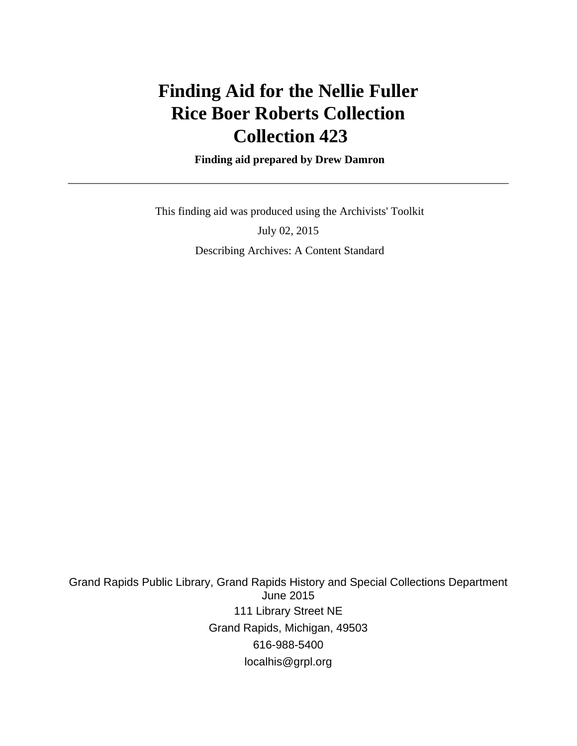# **Finding Aid for the Nellie Fuller Rice Boer Roberts Collection Collection 423**

 **Finding aid prepared by Drew Damron**

 This finding aid was produced using the Archivists' Toolkit July 02, 2015 Describing Archives: A Content Standard

Grand Rapids Public Library, Grand Rapids History and Special Collections Department June 2015 111 Library Street NE Grand Rapids, Michigan, 49503 616-988-5400 localhis@grpl.org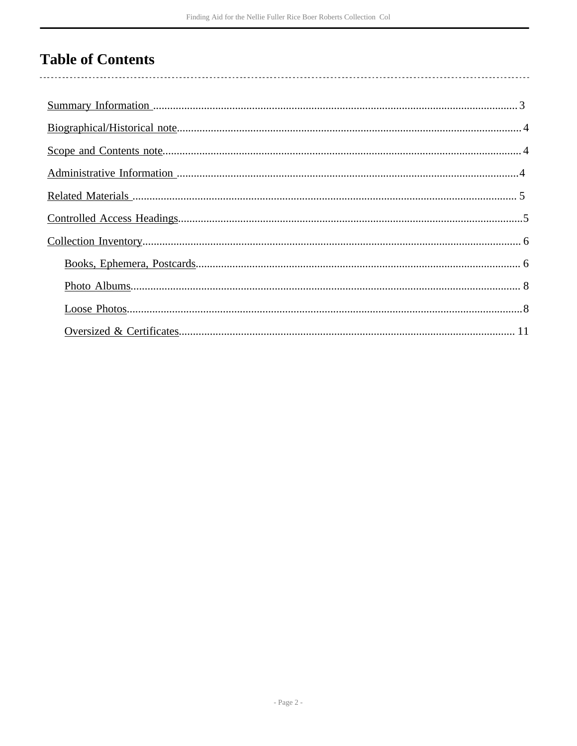# **Table of Contents**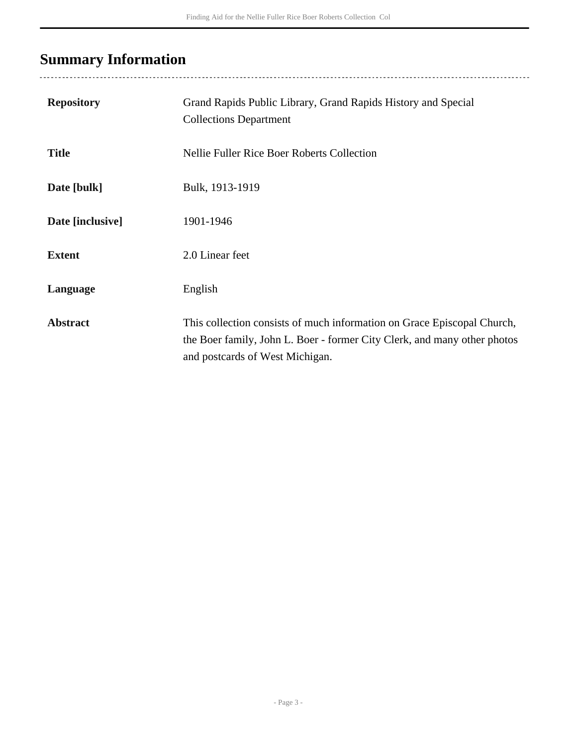# <span id="page-2-0"></span>**Summary Information**

| <b>Repository</b> | Grand Rapids Public Library, Grand Rapids History and Special<br><b>Collections Department</b>                                                                                         |
|-------------------|----------------------------------------------------------------------------------------------------------------------------------------------------------------------------------------|
| <b>Title</b>      | <b>Nellie Fuller Rice Boer Roberts Collection</b>                                                                                                                                      |
| Date [bulk]       | Bulk, 1913-1919                                                                                                                                                                        |
| Date [inclusive]  | 1901-1946                                                                                                                                                                              |
| <b>Extent</b>     | 2.0 Linear feet                                                                                                                                                                        |
| Language          | English                                                                                                                                                                                |
| <b>Abstract</b>   | This collection consists of much information on Grace Episcopal Church,<br>the Boer family, John L. Boer - former City Clerk, and many other photos<br>and postcards of West Michigan. |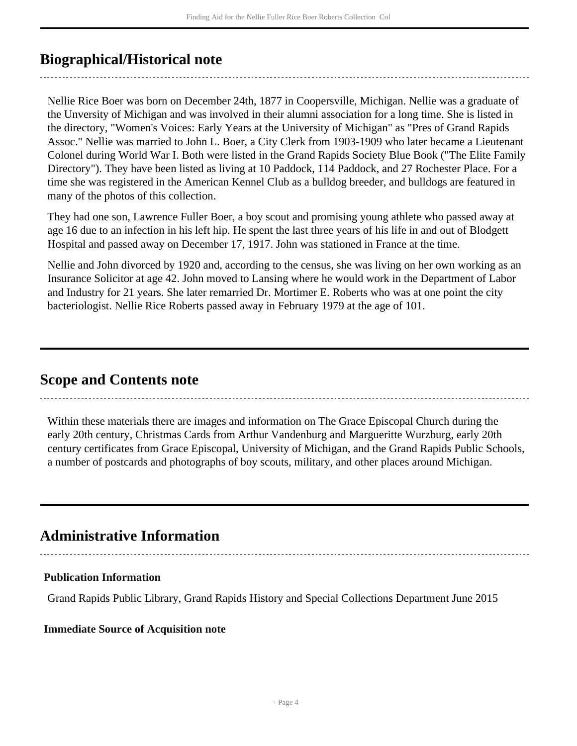## <span id="page-3-0"></span>**Biographical/Historical note**

Nellie Rice Boer was born on December 24th, 1877 in Coopersville, Michigan. Nellie was a graduate of the Unversity of Michigan and was involved in their alumni association for a long time. She is listed in the directory, "Women's Voices: Early Years at the University of Michigan" as "Pres of Grand Rapids Assoc." Nellie was married to John L. Boer, a City Clerk from 1903-1909 who later became a Lieutenant Colonel during World War I. Both were listed in the Grand Rapids Society Blue Book ("The Elite Family Directory"). They have been listed as living at 10 Paddock, 114 Paddock, and 27 Rochester Place. For a time she was registered in the American Kennel Club as a bulldog breeder, and bulldogs are featured in many of the photos of this collection.

They had one son, Lawrence Fuller Boer, a boy scout and promising young athlete who passed away at age 16 due to an infection in his left hip. He spent the last three years of his life in and out of Blodgett Hospital and passed away on December 17, 1917. John was stationed in France at the time.

Nellie and John divorced by 1920 and, according to the census, she was living on her own working as an Insurance Solicitor at age 42. John moved to Lansing where he would work in the Department of Labor and Industry for 21 years. She later remarried Dr. Mortimer E. Roberts who was at one point the city bacteriologist. Nellie Rice Roberts passed away in February 1979 at the age of 101.

### <span id="page-3-1"></span>**Scope and Contents note**

Within these materials there are images and information on The Grace Episcopal Church during the early 20th century, Christmas Cards from Arthur Vandenburg and Margueritte Wurzburg, early 20th century certificates from Grace Episcopal, University of Michigan, and the Grand Rapids Public Schools, a number of postcards and photographs of boy scouts, military, and other places around Michigan.

### <span id="page-3-2"></span>**Administrative Information**

### **Publication Information**

Grand Rapids Public Library, Grand Rapids History and Special Collections Department June 2015

#### **Immediate Source of Acquisition note**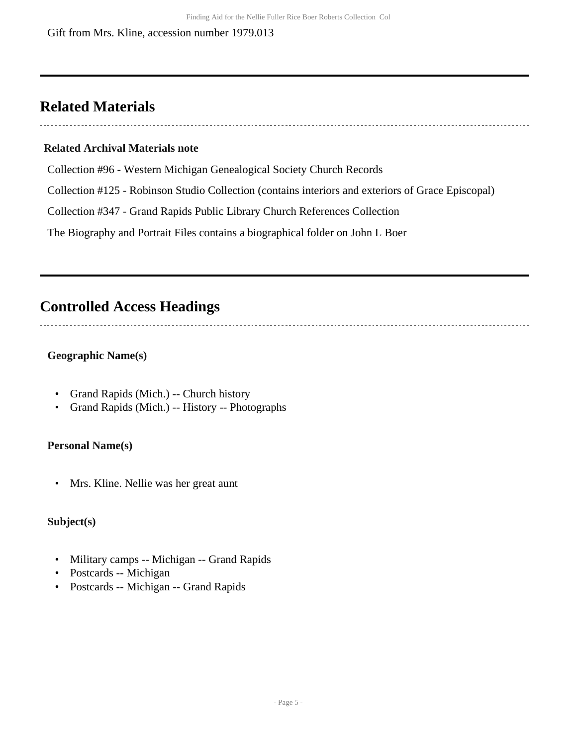## <span id="page-4-0"></span>**Related Materials**

#### **Related Archival Materials note**

Collection #96 - Western Michigan Genealogical Society Church Records

Collection #125 - Robinson Studio Collection (contains interiors and exteriors of Grace Episcopal)

Collection #347 - Grand Rapids Public Library Church References Collection

The Biography and Portrait Files contains a biographical folder on John L Boer

## <span id="page-4-1"></span>**Controlled Access Headings**

### **Geographic Name(s)**

- Grand Rapids (Mich.) -- Church history
- Grand Rapids (Mich.) -- History -- Photographs

### **Personal Name(s)**

• Mrs. Kline. Nellie was her great aunt

### **Subject(s)**

- Military camps -- Michigan -- Grand Rapids
- Postcards -- Michigan
- Postcards -- Michigan -- Grand Rapids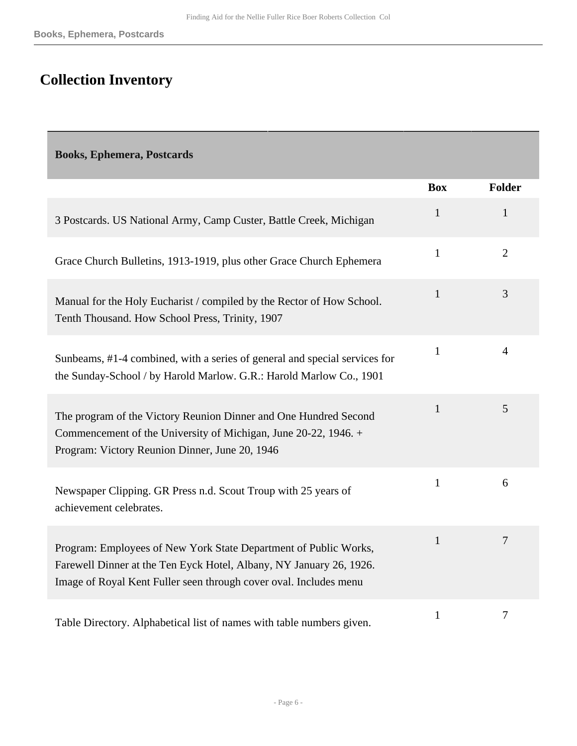# <span id="page-5-0"></span>**Collection Inventory**

<span id="page-5-1"></span>**Books, Ephemera, Postcards** 

|                                                                                                                                                                                                              | <b>Box</b>   | <b>Folder</b>  |
|--------------------------------------------------------------------------------------------------------------------------------------------------------------------------------------------------------------|--------------|----------------|
| 3 Postcards. US National Army, Camp Custer, Battle Creek, Michigan                                                                                                                                           | $\mathbf{1}$ | $\mathbf{1}$   |
| Grace Church Bulletins, 1913-1919, plus other Grace Church Ephemera                                                                                                                                          | $\mathbf{1}$ | $\overline{2}$ |
| Manual for the Holy Eucharist / compiled by the Rector of How School.<br>Tenth Thousand. How School Press, Trinity, 1907                                                                                     | $\mathbf{1}$ | 3              |
| Sunbeams, #1-4 combined, with a series of general and special services for<br>the Sunday-School / by Harold Marlow. G.R.: Harold Marlow Co., 1901                                                            | $\mathbf{1}$ | $\overline{4}$ |
| The program of the Victory Reunion Dinner and One Hundred Second<br>Commencement of the University of Michigan, June 20-22, 1946. +<br>Program: Victory Reunion Dinner, June 20, 1946                        | $\mathbf{1}$ | 5              |
| Newspaper Clipping. GR Press n.d. Scout Troup with 25 years of<br>achievement celebrates.                                                                                                                    | $\mathbf{1}$ | 6              |
| Program: Employees of New York State Department of Public Works,<br>Farewell Dinner at the Ten Eyck Hotel, Albany, NY January 26, 1926.<br>Image of Royal Kent Fuller seen through cover oval. Includes menu | $\mathbf{1}$ | $\overline{7}$ |
| Table Directory. Alphabetical list of names with table numbers given.                                                                                                                                        | $\mathbf{1}$ | $\tau$         |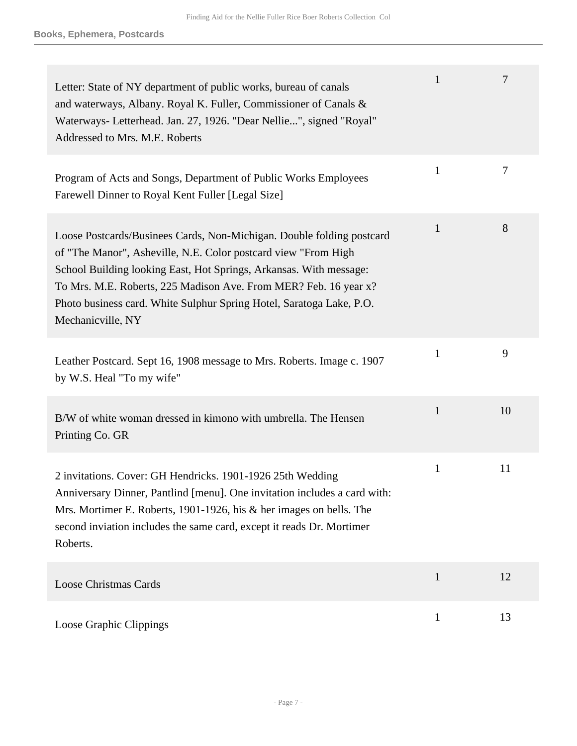| Letter: State of NY department of public works, bureau of canals<br>and waterways, Albany. Royal K. Fuller, Commissioner of Canals &<br>Waterways- Letterhead. Jan. 27, 1926. "Dear Nellie", signed "Royal"<br>Addressed to Mrs. M.E. Roberts                                                                                                                                  | $\mathbf{1}$ | 7      |
|--------------------------------------------------------------------------------------------------------------------------------------------------------------------------------------------------------------------------------------------------------------------------------------------------------------------------------------------------------------------------------|--------------|--------|
| Program of Acts and Songs, Department of Public Works Employees<br>Farewell Dinner to Royal Kent Fuller [Legal Size]                                                                                                                                                                                                                                                           | $\mathbf{1}$ | $\tau$ |
| Loose Postcards/Businees Cards, Non-Michigan. Double folding postcard<br>of "The Manor", Asheville, N.E. Color postcard view "From High<br>School Building looking East, Hot Springs, Arkansas. With message:<br>To Mrs. M.E. Roberts, 225 Madison Ave. From MER? Feb. 16 year x?<br>Photo business card. White Sulphur Spring Hotel, Saratoga Lake, P.O.<br>Mechanicville, NY | $\mathbf{1}$ | 8      |
| Leather Postcard. Sept 16, 1908 message to Mrs. Roberts. Image c. 1907<br>by W.S. Heal "To my wife"                                                                                                                                                                                                                                                                            | $\mathbf{1}$ | 9      |
| B/W of white woman dressed in kimono with umbrella. The Hensen<br>Printing Co. GR                                                                                                                                                                                                                                                                                              | $\mathbf{1}$ | 10     |
| 2 invitations. Cover: GH Hendricks. 1901-1926 25th Wedding<br>Anniversary Dinner, Pantlind [menu]. One invitation includes a card with:<br>Mrs. Mortimer E. Roberts, 1901-1926, his & her images on bells. The<br>second inviation includes the same card, except it reads Dr. Mortimer<br>Roberts.                                                                            | $\mathbf{1}$ | 11     |
| <b>Loose Christmas Cards</b>                                                                                                                                                                                                                                                                                                                                                   | $\mathbf{1}$ | 12     |
| Loose Graphic Clippings                                                                                                                                                                                                                                                                                                                                                        | $\mathbf{1}$ | 13     |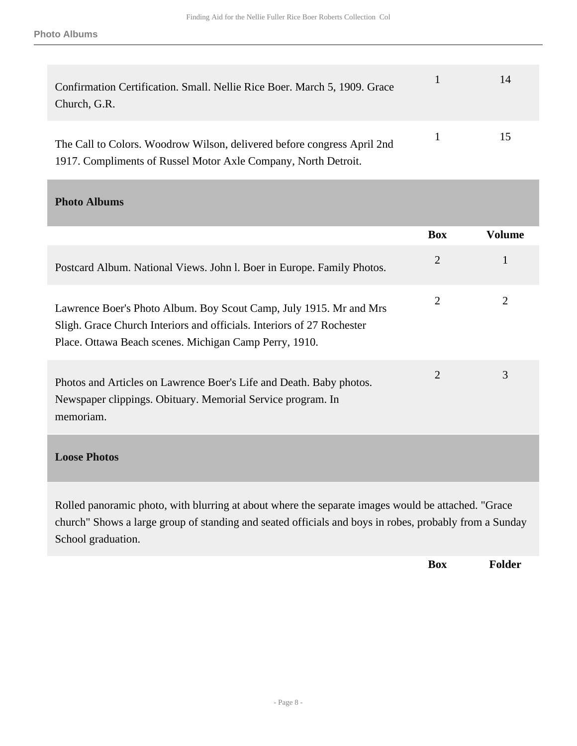| Confirmation Certification. Small. Nellie Rice Boer. March 5, 1909. Grace<br>Church, G.R.                                                 | 14 |
|-------------------------------------------------------------------------------------------------------------------------------------------|----|
| The Call to Colors. Woodrow Wilson, delivered before congress April 2nd<br>1917. Compliments of Russel Motor Axle Company, North Detroit. | 15 |

<span id="page-7-0"></span>**Photo Albums** 

|                                                                                                                                                                                                        | <b>Box</b>     | <b>Volume</b>  |
|--------------------------------------------------------------------------------------------------------------------------------------------------------------------------------------------------------|----------------|----------------|
| Postcard Album. National Views. John I. Boer in Europe. Family Photos.                                                                                                                                 | $\overline{2}$ | 1              |
| Lawrence Boer's Photo Album. Boy Scout Camp, July 1915. Mr and Mrs<br>Sligh. Grace Church Interiors and officials. Interiors of 27 Rochester<br>Place. Ottawa Beach scenes. Michigan Camp Perry, 1910. | $\overline{2}$ | $\overline{2}$ |
| Photos and Articles on Lawrence Boer's Life and Death. Baby photos.<br>Newspaper clippings. Obituary. Memorial Service program. In<br>memoriam.                                                        | $\overline{2}$ | 3              |
| <b>Loose Photos</b>                                                                                                                                                                                    |                |                |
| Rolled panoramic photo, with blurring at about where the separate images would be attached. "Grace<br>$\mathbf{1}$ $\mathbf{1}$ $\mathbf{1}$ $\mathbf{1}$ $\mathbf{1}$                                 |                |                |

<span id="page-7-1"></span>church" Shows a large group of standing and seated officials and boys in robes, probably from a Sunday School graduation.

**Box Folder**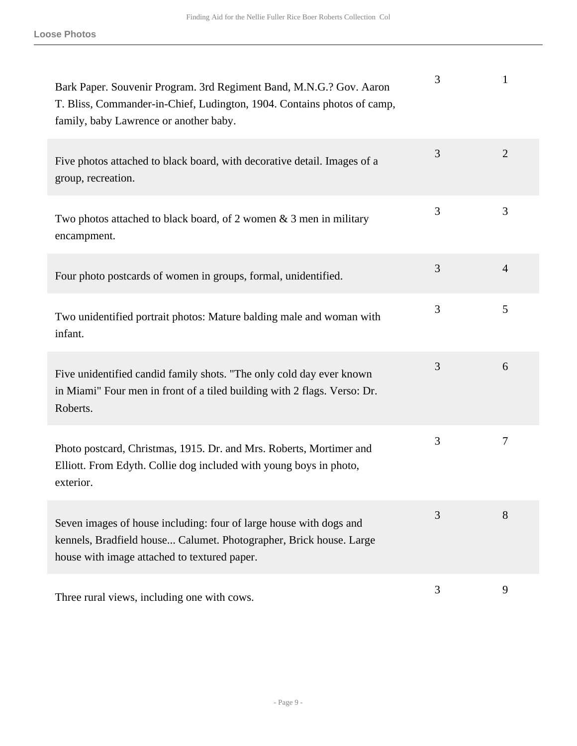| Bark Paper. Souvenir Program. 3rd Regiment Band, M.N.G.? Gov. Aaron<br>T. Bliss, Commander-in-Chief, Ludington, 1904. Contains photos of camp,<br>family, baby Lawrence or another baby. | 3 | 1              |
|------------------------------------------------------------------------------------------------------------------------------------------------------------------------------------------|---|----------------|
| Five photos attached to black board, with decorative detail. Images of a<br>group, recreation.                                                                                           | 3 | $\overline{2}$ |
| Two photos attached to black board, of 2 women $\&$ 3 men in military<br>encampment.                                                                                                     | 3 | 3              |
| Four photo postcards of women in groups, formal, unidentified.                                                                                                                           | 3 | $\overline{4}$ |
| Two unidentified portrait photos: Mature balding male and woman with<br>infant.                                                                                                          | 3 | 5              |
| Five unidentified candid family shots. "The only cold day ever known<br>in Miami" Four men in front of a tiled building with 2 flags. Verso: Dr.<br>Roberts.                             | 3 | 6              |
| Photo postcard, Christmas, 1915. Dr. and Mrs. Roberts, Mortimer and<br>Elliott. From Edyth. Collie dog included with young boys in photo,<br>exterior.                                   | 3 | 7              |
| Seven images of house including: four of large house with dogs and<br>kennels, Bradfield house Calumet. Photographer, Brick house. Large<br>house with image attached to textured paper. | 3 | 8              |
| Three rural views, including one with cows.                                                                                                                                              | 3 | 9              |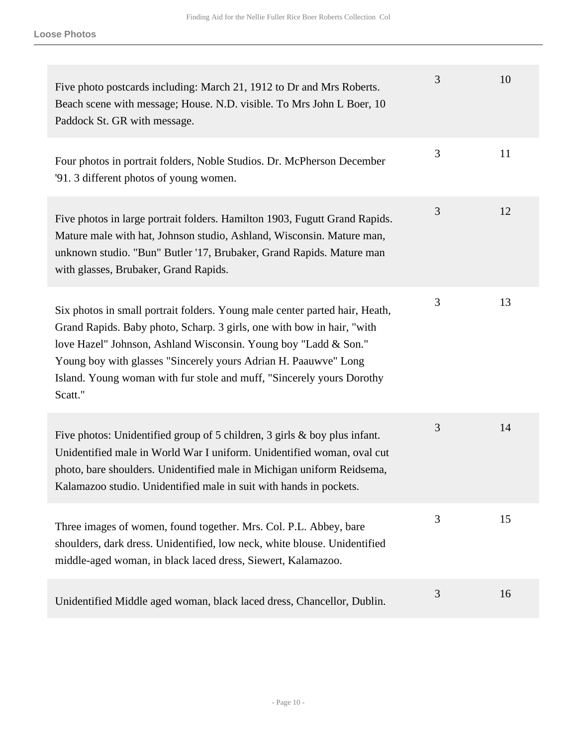| Five photo postcards including: March 21, 1912 to Dr and Mrs Roberts.<br>Beach scene with message; House. N.D. visible. To Mrs John L Boer, 10<br>Paddock St. GR with message.                                                                                                                                                                                                  | 3 | 10 |
|---------------------------------------------------------------------------------------------------------------------------------------------------------------------------------------------------------------------------------------------------------------------------------------------------------------------------------------------------------------------------------|---|----|
| Four photos in portrait folders, Noble Studios. Dr. McPherson December<br>'91. 3 different photos of young women.                                                                                                                                                                                                                                                               | 3 | 11 |
| Five photos in large portrait folders. Hamilton 1903, Fugutt Grand Rapids.<br>Mature male with hat, Johnson studio, Ashland, Wisconsin. Mature man,<br>unknown studio. "Bun" Butler '17, Brubaker, Grand Rapids. Mature man<br>with glasses, Brubaker, Grand Rapids.                                                                                                            | 3 | 12 |
| Six photos in small portrait folders. Young male center parted hair, Heath,<br>Grand Rapids. Baby photo, Scharp. 3 girls, one with bow in hair, "with<br>love Hazel" Johnson, Ashland Wisconsin. Young boy "Ladd & Son."<br>Young boy with glasses "Sincerely yours Adrian H. Paauwve" Long<br>Island. Young woman with fur stole and muff, "Sincerely yours Dorothy<br>Scatt." | 3 | 13 |
| Five photos: Unidentified group of 5 children, 3 girls $\&$ boy plus infant.<br>Unidentified male in World War I uniform. Unidentified woman, oval cut<br>photo, bare shoulders. Unidentified male in Michigan uniform Reidsema,<br>Kalamazoo studio. Unidentified male in suit with hands in pockets.                                                                          | 3 | 14 |
| Three images of women, found together. Mrs. Col. P.L. Abbey, bare<br>shoulders, dark dress. Unidentified, low neck, white blouse. Unidentified<br>middle-aged woman, in black laced dress, Siewert, Kalamazoo.                                                                                                                                                                  | 3 | 15 |
| Unidentified Middle aged woman, black laced dress, Chancellor, Dublin.                                                                                                                                                                                                                                                                                                          | 3 | 16 |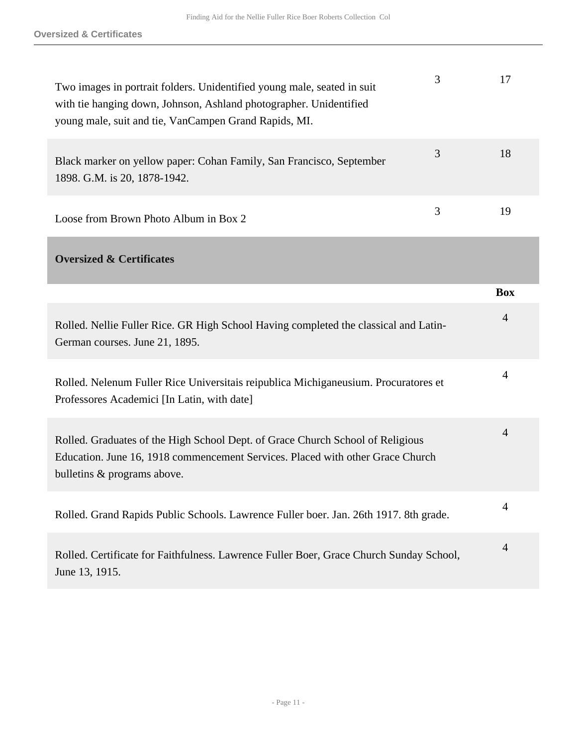<span id="page-10-0"></span>

| 3<br>Two images in portrait folders. Unidentified young male, seated in suit<br>with tie hanging down, Johnson, Ashland photographer. Unidentified<br>young male, suit and tie, VanCampen Grand Rapids, MI. | 17             |
|-------------------------------------------------------------------------------------------------------------------------------------------------------------------------------------------------------------|----------------|
| 3<br>Black marker on yellow paper: Cohan Family, San Francisco, September<br>1898. G.M. is 20, 1878-1942.                                                                                                   | 18             |
| 3<br>Loose from Brown Photo Album in Box 2                                                                                                                                                                  | 19             |
| <b>Oversized &amp; Certificates</b>                                                                                                                                                                         |                |
|                                                                                                                                                                                                             | <b>Box</b>     |
| Rolled. Nellie Fuller Rice. GR High School Having completed the classical and Latin-<br>German courses. June 21, 1895.                                                                                      | $\overline{4}$ |
| Rolled. Nelenum Fuller Rice Universitais reipublica Michiganeusium. Procuratores et<br>Professores Academici [In Latin, with date]                                                                          | $\overline{4}$ |
| Rolled. Graduates of the High School Dept. of Grace Church School of Religious<br>Education. June 16, 1918 commencement Services. Placed with other Grace Church<br>bulletins & programs above.             | $\overline{4}$ |
| Rolled. Grand Rapids Public Schools. Lawrence Fuller boer. Jan. 26th 1917. 8th grade.                                                                                                                       | $\overline{4}$ |
|                                                                                                                                                                                                             |                |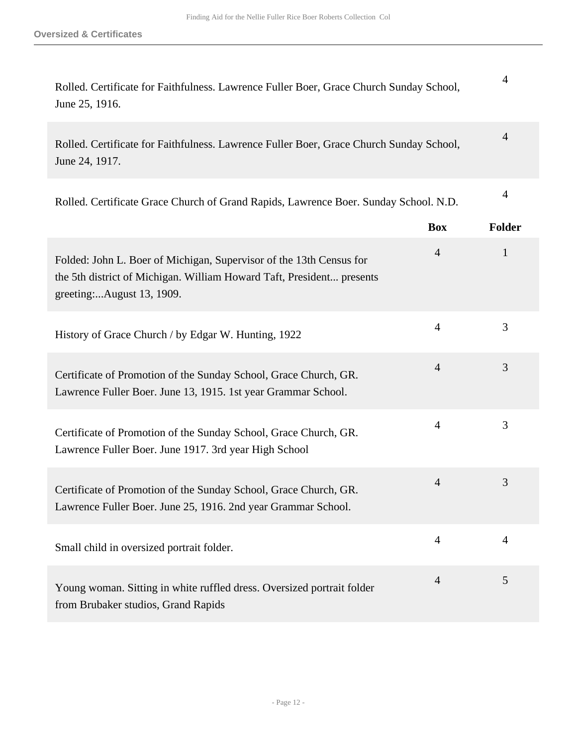| Rolled. Certificate for Faithfulness. Lawrence Fuller Boer, Grace Church Sunday School, |  |
|-----------------------------------------------------------------------------------------|--|
| June 25, 1916.                                                                          |  |

| Rolled. Certificate for Faithfulness. Lawrence Fuller Boer, Grace Church Sunday School, | 4 |
|-----------------------------------------------------------------------------------------|---|
| June 24, 1917.                                                                          |   |

4

| Rolled. Certificate Grace Church of Grand Rapids, Lawrence Boer. Sunday School. N.D. |  |
|--------------------------------------------------------------------------------------|--|

|                                                                                                                                                                           | <b>Box</b>     | <b>Folder</b>  |
|---------------------------------------------------------------------------------------------------------------------------------------------------------------------------|----------------|----------------|
| Folded: John L. Boer of Michigan, Supervisor of the 13th Census for<br>the 5th district of Michigan. William Howard Taft, President presents<br>greeting:August 13, 1909. | $\overline{4}$ | 1              |
| History of Grace Church / by Edgar W. Hunting, 1922                                                                                                                       | $\overline{4}$ | 3              |
| Certificate of Promotion of the Sunday School, Grace Church, GR.<br>Lawrence Fuller Boer. June 13, 1915. 1st year Grammar School.                                         | $\overline{4}$ | 3              |
| Certificate of Promotion of the Sunday School, Grace Church, GR.<br>Lawrence Fuller Boer. June 1917. 3rd year High School                                                 | $\overline{4}$ | 3              |
| Certificate of Promotion of the Sunday School, Grace Church, GR.<br>Lawrence Fuller Boer. June 25, 1916. 2nd year Grammar School.                                         | $\overline{4}$ | 3              |
| Small child in oversized portrait folder.                                                                                                                                 | $\overline{4}$ | $\overline{4}$ |
| Young woman. Sitting in white ruffled dress. Oversized portrait folder<br>from Brubaker studios, Grand Rapids                                                             | $\overline{4}$ | 5              |